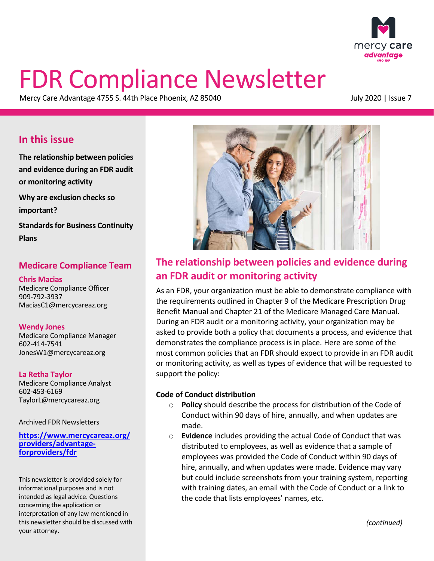

# <span id="page-0-0"></span>FDR Compliance Newsletter

Mercy Care Advantage 4755 S. 44th Place Phoenix, AZ 85040 July 2020 | Issue 7

# **In this issue**

 **and evidence during an FDR audit [The relationship between policies](#page-0-0) or monitoring activity [Why are exclusion checks so](#page-2-0)  important? [Standards for Business Continuity](#page-1-0)** 

**Plans** 

## **Medicare Compliance Team**

#### **Chris Macias**

Medicare Compliance Officer 909-792-3937 MaciasC1@mercycareaz.org

#### **Wendy Jones**

Medicare Compliance Manager 602-414-7541 JonesW1@mercycareaz.org

**La Retha Taylor** Medicare Compliance Analyst 602-453-6169 TaylorL@mercycareaz.org

Archived FDR Newsletters

**[https://www.mercycareaz.org/](https://www.mercycareaz.org/providers/advantage-forproviders/fdr) [providers/advantage-](https://www.mercycareaz.org/providers/advantage-forproviders/fdr) [forproviders/fdr](https://www.mercycareaz.org/providers/advantage-forproviders/fdr)** 

 informational purposes and is not intended as legal advice. Questions This newsletter is provided solely for concerning the application or interpretation of any law mentioned in this newsletter should be discussed with your attorney.



# **The relationship between policies and evidence during an FDR audit or monitoring activity**

 or monitoring activity, as well as types of evidence that will be requested to support the policy: As an FDR, your organization must be able to demonstrate compliance with the requirements outlined in Chapter 9 of the Medicare Prescription Drug Benefit Manual and Chapter 21 of the Medicare Managed Care Manual. During an FDR audit or a monitoring activity, your organization may be asked to provide both a policy that documents a process, and evidence that demonstrates the compliance process is in place. Here are some of the most common policies that an FDR should expect to provide in an FDR audit

#### **Code of Conduct distribution**

- o **Policy** should describe the process for distribution of the Code of Conduct within 90 days of hire, annually, and when updates are made.
- o **Evidence** includes providing the actual Code of Conduct that was distributed to employees, as well as evidence that a sample of employees was provided the Code of Conduct within 90 days of hire, annually, and when updates were made. Evidence may vary but could include screenshots from your training system, reporting with training dates, an email with the Code of Conduct or a link to the code that lists employees' names, etc.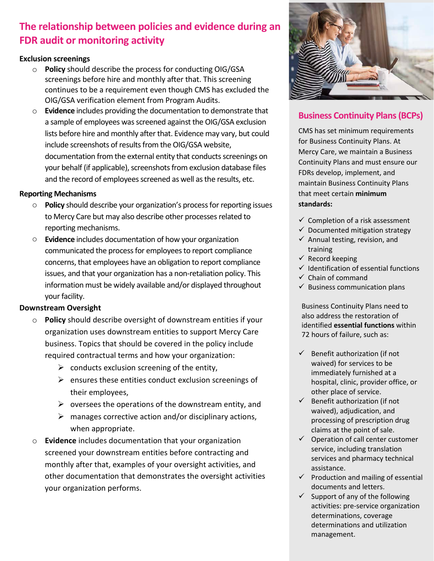# <span id="page-1-0"></span>**The relationship between policies and evidence during an FDR audit or monitoring activity**

#### **Exclusion screenings**

- o **Policy** should describe the process for conducting OIG/GSA screenings before hire and monthly after that. This screening continues to be a requirement even though CMS has excluded the OIG/GSA verification element from Program Audits.
- o **Evidence** includes providing the documentation to demonstrate that a sample of employees was screened against the OIG/GSA exclusion lists before hire and monthly after that. Evidence may vary, but could include screenshots of results from the OIG/GSA website, documentation from the external entity that conducts screenings on your behalf (if applicable), screenshots from exclusion database files and the record of employees screened as well as the results, etc. **Example of the controlling the volume of the controlling to the state of the state of the state of the controlling the state of the state of the state of the state of the state of the state of the state of the controllin**

#### **Reporting Mechanisms**

- o **Policy** should describe your organization's process for reporting issues to Mercy Care but may also describe other processes related to reporting mechanisms.
- o **Evidence** includes documentation of how your organization communicated the process for employees to report compliance concerns, that employees have an obligation to report compliance issues, and that your organization has a non-retaliation policy. This information must be widely available and/or displayed throughout your facility.

#### **Downstream Oversight**

- o **Policy** should describe oversight of downstream entities if your organization uses downstream entities to support Mercy Care business. Topics that should be covered in the policy include required contractual terms and how your organization:
	- $\triangleright$  conducts exclusion screening of the entity,
	- $\triangleright$  ensures these entities conduct exclusion screenings of their employees,
	- $\triangleright$  oversees the operations of the downstream entity, and
	- $\triangleright$  manages corrective action and/or disciplinary actions, when appropriate.
- your organization performs. o **Evidence** includes documentation that your organization screened your downstream entities before contracting and monthly after that, examples of your oversight activities, and other documentation that demonstrates the oversight activities



## **Business Continuity Plans (BCPs)**

 maintain Business Continuity Plans CMS has set minimum requirements for Business Continuity Plans. At Mercy Care, we maintain a Business Continuity Plans and must ensure our FDRs develop, implement, and that meet certain **minimum standards:** 

- $\checkmark$  Completion of a risk assessment
- $\checkmark$  Documented mitigation strategy
- $\checkmark$  Annual testing, revision, and training
- $\checkmark$  Record keeping
- $\checkmark$  Identification of essential functions
- $\checkmark$  Chain of command
- $\checkmark$  Business communication plans

Business Continuity Plans need to also address the restoration of identified **essential functions** within 72 hours of failure, such as:

- hospital, clinic, provider office, or  $\checkmark$  Benefit authorization (if not waived) for services to be immediately furnished at a other place of service.
- $\checkmark$  Benefit authorization (if not waived), adjudication, and processing of prescription drug claims at the point of sale.
- $\checkmark$  Operation of call center customer service, including translation services and pharmacy technical assistance.
- $\checkmark$  Production and mailing of essential documents and letters.
- $\checkmark$  Support of any of the following determinations and utilization activities: pre-service organization determinations, coverage management.